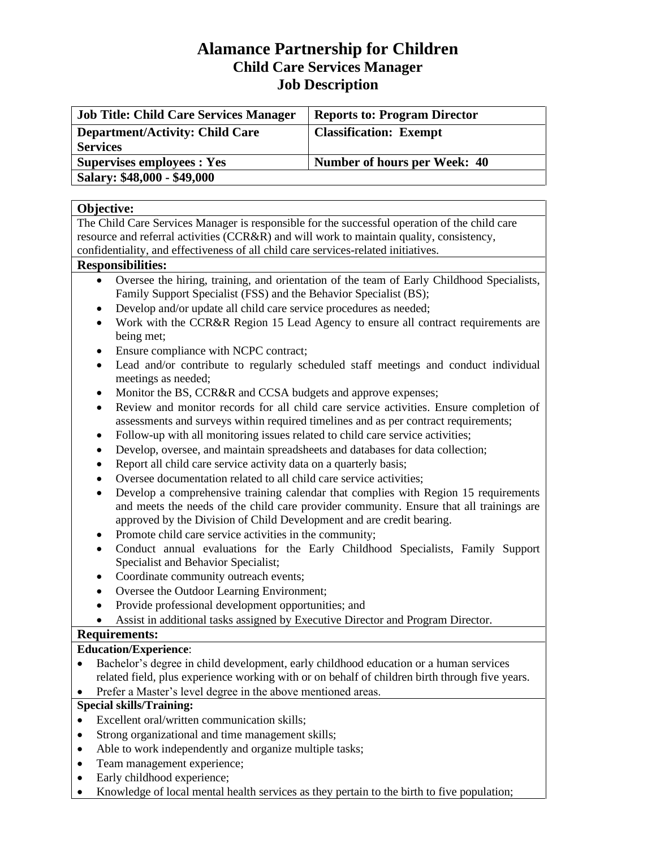# **Alamance Partnership for Children Child Care Services Manager Job Description**

| <b>Job Title: Child Care Services Manager</b> | <b>Reports to: Program Director</b> |
|-----------------------------------------------|-------------------------------------|
| <b>Department/Activity: Child Care</b>        | <b>Classification: Exempt</b>       |
| <b>Services</b>                               |                                     |
| <b>Supervises employees : Yes</b>             | Number of hours per Week: 40        |
| Salary: \$48,000 - \$49,000                   |                                     |

### **Objective:**

The Child Care Services Manager is responsible for the successful operation of the child care resource and referral activities (CCR&R) and will work to maintain quality, consistency, confidentiality, and effectiveness of all child care services-related initiatives.

### **Responsibilities:**

- Oversee the hiring, training, and orientation of the team of Early Childhood Specialists, Family Support Specialist (FSS) and the Behavior Specialist (BS);
- Develop and/or update all child care service procedures as needed;
- Work with the CCR&R Region 15 Lead Agency to ensure all contract requirements are being met;
- Ensure compliance with NCPC contract;
- Lead and/or contribute to regularly scheduled staff meetings and conduct individual meetings as needed;
- Monitor the BS, CCR&R and CCSA budgets and approve expenses;
- Review and monitor records for all child care service activities. Ensure completion of assessments and surveys within required timelines and as per contract requirements;
- Follow-up with all monitoring issues related to child care service activities;
- Develop, oversee, and maintain spreadsheets and databases for data collection;
- Report all child care service activity data on a quarterly basis;
- Oversee documentation related to all child care service activities;
- Develop a comprehensive training calendar that complies with Region 15 requirements and meets the needs of the child care provider community. Ensure that all trainings are approved by the Division of Child Development and are credit bearing.
- Promote child care service activities in the community;
- Conduct annual evaluations for the Early Childhood Specialists, Family Support Specialist and Behavior Specialist;
- Coordinate community outreach events;
- Oversee the Outdoor Learning Environment;
- Provide professional development opportunities; and
- Assist in additional tasks assigned by Executive Director and Program Director.

## **Requirements:**

### **Education/Experience**:

- Bachelor's degree in child development, early childhood education or a human services related field, plus experience working with or on behalf of children birth through five years.
- Prefer a Master's level degree in the above mentioned areas.

## **Special skills/Training:**

- Excellent oral/written communication skills;
- Strong organizational and time management skills;
- Able to work independently and organize multiple tasks;
- Team management experience;
- Early childhood experience;
- Knowledge of local mental health services as they pertain to the birth to five population;